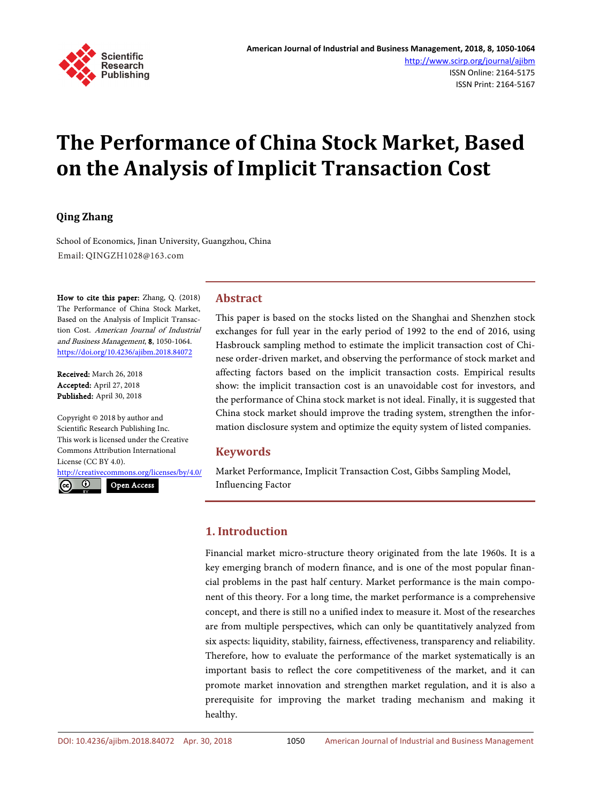

# **The Performance of China Stock Market, Based on the Analysis of Implicit Transaction Cost**

#### **Qing Zhang**

School of Economics, Jinan University, Guangzhou, China Email: QINGZH1028@163.com

How to cite this paper: Zhang, Q. (2018) The Performance of China Stock Market, Based on the Analysis of Implicit Transaction Cost. American Journal of Industrial and Business Management, 8, 1050-1064. <https://doi.org/10.4236/ajibm.2018.84072>

Received: March 26, 2018 Accepted: April 27, 2018 Published: April 30, 2018

Copyright © 2018 by author and Scientific Research Publishing Inc. This work is licensed under the Creative Commons Attribution International License (CC BY 4.0).

<http://creativecommons.org/licenses/by/4.0/>  $\odot$ Open Access

This paper is based on the stocks listed on the Shanghai and Shenzhen stock exchanges for full year in the early period of 1992 to the end of 2016, using Hasbrouck sampling method to estimate the implicit transaction cost of Chinese order-driven market, and observing the performance of stock market and affecting factors based on the implicit transaction costs. Empirical results show: the implicit transaction cost is an unavoidable cost for investors, and the performance of China stock market is not ideal. Finally, it is suggested that China stock market should improve the trading system, strengthen the information disclosure system and optimize the equity system of listed companies.

#### **Keywords**

**Abstract**

Market Performance, Implicit Transaction Cost, Gibbs Sampling Model, Influencing Factor

### **1. Introduction**

Financial market micro-structure theory originated from the late 1960s. It is a key emerging branch of modern finance, and is one of the most popular financial problems in the past half century. Market performance is the main component of this theory. For a long time, the market performance is a comprehensive concept, and there is still no a unified index to measure it. Most of the researches are from multiple perspectives, which can only be quantitatively analyzed from six aspects: liquidity, stability, fairness, effectiveness, transparency and reliability. Therefore, how to evaluate the performance of the market systematically is an important basis to reflect the core competitiveness of the market, and it can promote market innovation and strengthen market regulation, and it is also a prerequisite for improving the market trading mechanism and making it healthy.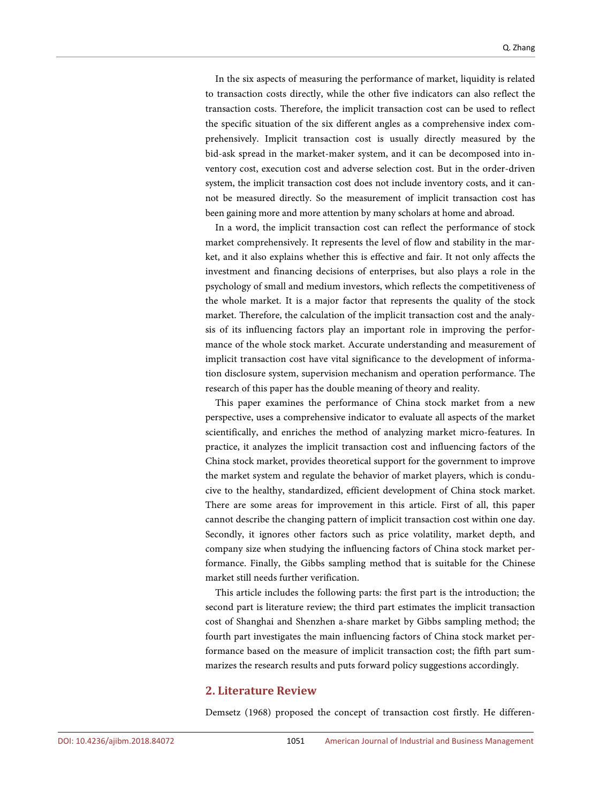In the six aspects of measuring the performance of market, liquidity is related to transaction costs directly, while the other five indicators can also reflect the transaction costs. Therefore, the implicit transaction cost can be used to reflect the specific situation of the six different angles as a comprehensive index comprehensively. Implicit transaction cost is usually directly measured by the bid-ask spread in the market-maker system, and it can be decomposed into inventory cost, execution cost and adverse selection cost. But in the order-driven system, the implicit transaction cost does not include inventory costs, and it cannot be measured directly. So the measurement of implicit transaction cost has been gaining more and more attention by many scholars at home and abroad.

In a word, the implicit transaction cost can reflect the performance of stock market comprehensively. It represents the level of flow and stability in the market, and it also explains whether this is effective and fair. It not only affects the investment and financing decisions of enterprises, but also plays a role in the psychology of small and medium investors, which reflects the competitiveness of the whole market. It is a major factor that represents the quality of the stock market. Therefore, the calculation of the implicit transaction cost and the analysis of its influencing factors play an important role in improving the performance of the whole stock market. Accurate understanding and measurement of implicit transaction cost have vital significance to the development of information disclosure system, supervision mechanism and operation performance. The research of this paper has the double meaning of theory and reality.

This paper examines the performance of China stock market from a new perspective, uses a comprehensive indicator to evaluate all aspects of the market scientifically, and enriches the method of analyzing market micro-features. In practice, it analyzes the implicit transaction cost and influencing factors of the China stock market, provides theoretical support for the government to improve the market system and regulate the behavior of market players, which is conducive to the healthy, standardized, efficient development of China stock market. There are some areas for improvement in this article. First of all, this paper cannot describe the changing pattern of implicit transaction cost within one day. Secondly, it ignores other factors such as price volatility, market depth, and company size when studying the influencing factors of China stock market performance. Finally, the Gibbs sampling method that is suitable for the Chinese market still needs further verification.

This article includes the following parts: the first part is the introduction; the second part is literature review; the third part estimates the implicit transaction cost of Shanghai and Shenzhen a-share market by Gibbs sampling method; the fourth part investigates the main influencing factors of China stock market performance based on the measure of implicit transaction cost; the fifth part summarizes the research results and puts forward policy suggestions accordingly.

#### **2. Literature Review**

Demsetz (1968) proposed the concept of transaction cost firstly. He differen-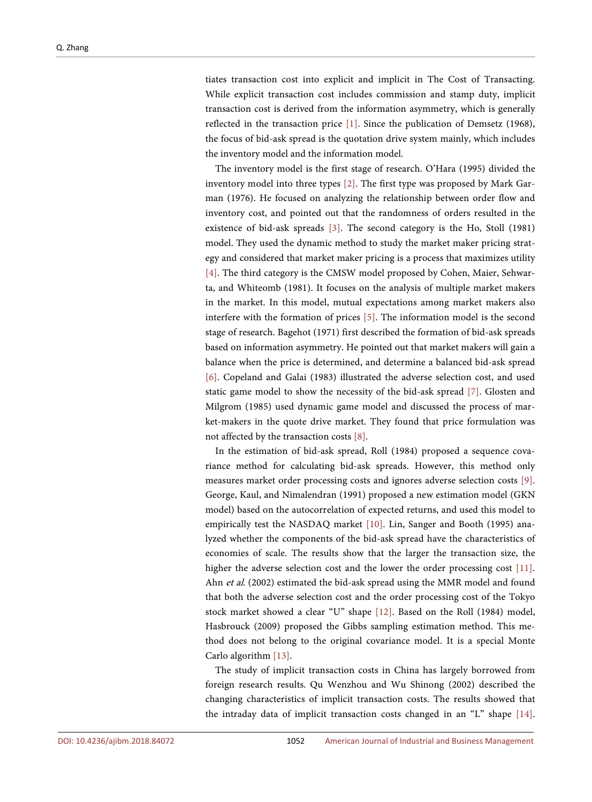tiates transaction cost into explicit and implicit in The Cost of Transacting. While explicit transaction cost includes commission and stamp duty, implicit transaction cost is derived from the information asymmetry, which is generally reflected in the transaction price [\[1\].](#page-13-0) Since the publication of Demsetz (1968), the focus of bid-ask spread is the quotation drive system mainly, which includes the inventory model and the information model.

The inventory model is the first stage of research. O'Hara (1995) divided the inventory model into three types [\[2\].](#page-13-1) The first type was proposed by Mark Garman (1976). He focused on analyzing the relationship between order flow and inventory cost, and pointed out that the randomness of orders resulted in the existence of bid-ask spreads [\[3\].](#page-13-2) The second category is the Ho, Stoll (1981) model. They used the dynamic method to study the market maker pricing strategy and considered that market maker pricing is a process that maximizes utility [\[4\].](#page-13-3) The third category is the CMSW model proposed by Cohen, Maier, Sehwarta, and Whiteomb (1981). It focuses on the analysis of multiple market makers in the market. In this model, mutual expectations among market makers also interfere with the formation of prices [\[5\].](#page-13-4) The information model is the second stage of research. Bagehot (1971) first described the formation of bid-ask spreads based on information asymmetry. He pointed out that market makers will gain a balance when the price is determined, and determine a balanced bid-ask spread [\[6\].](#page-13-5) Copeland and Galai (1983) illustrated the adverse selection cost, and used static game model to show the necessity of the bid-ask spread [\[7\].](#page-13-6) Glosten and Milgrom (1985) used dynamic game model and discussed the process of market-makers in the quote drive market. They found that price formulation was not affected by the transaction costs [\[8\].](#page-13-7)

In the estimation of bid-ask spread, Roll (1984) proposed a sequence covariance method for calculating bid-ask spreads. However, this method only measures market order processing costs and ignores adverse selection costs [\[9\].](#page-13-8)  George, Kaul, and Nimalendran (1991) proposed a new estimation model (GKN model) based on the autocorrelation of expected returns, and used this model to empirically test the NASDAQ market [\[10\].](#page-13-9) Lin, Sanger and Booth (1995) analyzed whether the components of the bid-ask spread have the characteristics of economies of scale. The results show that the larger the transaction size, the higher the adverse selection cost and the lower the order processing cost [\[11\].](#page-13-10)  Ahn et al. (2002) estimated the bid-ask spread using the MMR model and found that both the adverse selection cost and the order processing cost of the Tokyo stock market showed a clear "U" shape [\[12\].](#page-13-11) Based on the Roll (1984) model, Hasbrouck (2009) proposed the Gibbs sampling estimation method. This method does not belong to the original covariance model. It is a special Monte Carlo algorithm [\[13\].](#page-13-12) 

The study of implicit transaction costs in China has largely borrowed from foreign research results. Qu Wenzhou and Wu Shinong (2002) described the changing characteristics of implicit transaction costs. The results showed that the intraday data of implicit transaction costs changed in an "L" shape [\[14\].](#page-14-0)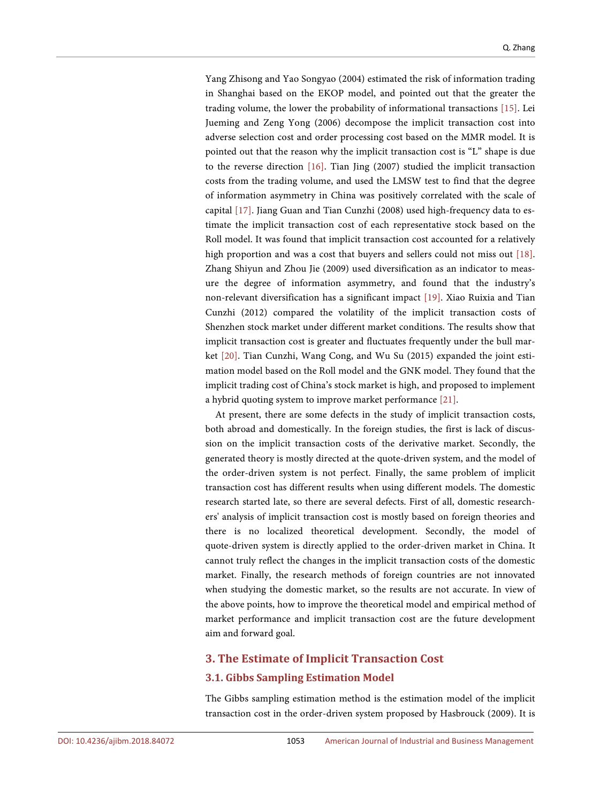Yang Zhisong and Yao Songyao (2004) estimated the risk of information trading in Shanghai based on the EKOP model, and pointed out that the greater the trading volume, the lower the probability of informational transactions [\[15\].](#page-14-1) Lei Jueming and Zeng Yong (2006) decompose the implicit transaction cost into adverse selection cost and order processing cost based on the MMR model. It is pointed out that the reason why the implicit transaction cost is "L" shape is due to the reverse direction [\[16\].](#page-14-2) Tian Jing (2007) studied the implicit transaction costs from the trading volume, and used the LMSW test to find that the degree of information asymmetry in China was positively correlated with the scale of capital [\[17\].](#page-14-3) Jiang Guan and Tian Cunzhi (2008) used high-frequency data to estimate the implicit transaction cost of each representative stock based on the Roll model. It was found that implicit transaction cost accounted for a relatively high proportion and was a cost that buyers and sellers could not miss out [\[18\].](#page-14-4)  Zhang Shiyun and Zhou Jie (2009) used diversification as an indicator to measure the degree of information asymmetry, and found that the industry's non-relevant diversification has a significant impact [\[19\].](#page-14-5) Xiao Ruixia and Tian Cunzhi (2012) compared the volatility of the implicit transaction costs of Shenzhen stock market under different market conditions. The results show that implicit transaction cost is greater and fluctuates frequently under the bull market [\[20\].](#page-14-6) Tian Cunzhi, Wang Cong, and Wu Su (2015) expanded the joint estimation model based on the Roll model and the GNK model. They found that the implicit trading cost of China's stock market is high, and proposed to implement a hybrid quoting system to improve market performance [\[21\].](#page-14-7)

At present, there are some defects in the study of implicit transaction costs, both abroad and domestically. In the foreign studies, the first is lack of discussion on the implicit transaction costs of the derivative market. Secondly, the generated theory is mostly directed at the quote-driven system, and the model of the order-driven system is not perfect. Finally, the same problem of implicit transaction cost has different results when using different models. The domestic research started late, so there are several defects. First of all, domestic researchers' analysis of implicit transaction cost is mostly based on foreign theories and there is no localized theoretical development. Secondly, the model of quote-driven system is directly applied to the order-driven market in China. It cannot truly reflect the changes in the implicit transaction costs of the domestic market. Finally, the research methods of foreign countries are not innovated when studying the domestic market, so the results are not accurate. In view of the above points, how to improve the theoretical model and empirical method of market performance and implicit transaction cost are the future development aim and forward goal.

## **3. The Estimate of Implicit Transaction Cost 3.1. Gibbs Sampling Estimation Model**

The Gibbs sampling estimation method is the estimation model of the implicit transaction cost in the order-driven system proposed by Hasbrouck (2009). It is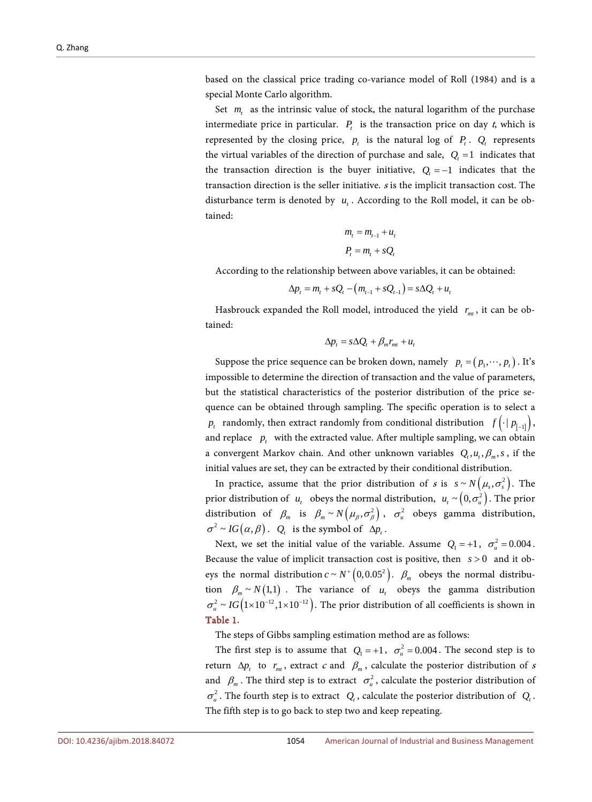based on the classical price trading co-variance model of Roll (1984) and is a special Monte Carlo algorithm.

Set  $m<sub>i</sub>$  as the intrinsic value of stock, the natural logarithm of the purchase intermediate price in particular.  $P_t$  is the transaction price on day t, which is represented by the closing price,  $p_t$  is the natural log of  $P_t$ .  $Q_t$  represents the virtual variables of the direction of purchase and sale,  $Q_t = 1$  indicates that the transaction direction is the buyer initiative,  $Q_t = -1$  indicates that the transaction direction is the seller initiative. <sup>s</sup> is the implicit transaction cost. The disturbance term is denoted by  $u_t$ . According to the Roll model, it can be obtained:

$$
m_t = m_{t-1} + u_t
$$

$$
P_t = m_t + sQ_t
$$

According to the relationship between above variables, it can be obtained:

$$
\Delta p_t = m_t + sQ_t - (m_{t-1} + sQ_{t-1}) = s\Delta Q_t + u_t
$$

Hasbrouck expanded the Roll model, introduced the yield  $r_{mt}$ , it can be obtained:

$$
\Delta p_t = s \Delta Q_t + \beta_m r_{mt} + u_t
$$

Suppose the price sequence can be broken down, namely  $p_t = ( p_1, \dots, p_t )$ . It's impossible to determine the direction of transaction and the value of parameters, but the statistical characteristics of the posterior distribution of the price sequence can be obtained through sampling. The specific operation is to select a  $p_t$  randomly, then extract randomly from conditional distribution  $f(\cdot | p_{f-1})$ , and replace  $p_t$  with the extracted value. After multiple sampling, we can obtain a convergent Markov chain. And other unknown variables  $Q_t, u_t, \beta_m, s$ , if the initial values are set, they can be extracted by their conditional distribution.

In practice, assume that the prior distribution of s is  $s \sim N(\mu_s, \sigma_s^2)$ . The prior distribution of  $u_t$  obeys the normal distribution,  $u_t \sim (0, \sigma_u^2)$ . The prior distribution of  $\beta_m$  is  $\beta_m \sim N(\mu_\beta, \sigma_\beta^2)$ ,  $\sigma_u^2$  obeys gamma distribution,  $\sigma^2 \sim IG(\alpha, \beta)$ . *Q<sub>t</sub>* is the symbol of  $\Delta p_t$ .

Next, we set the initial value of the variable. Assume  $Q_1 = +1$ ,  $\sigma_u^2 = 0.004$ . Because the value of implicit transaction cost is positive, then *s* > 0 and it obeys the normal distribution  $c \sim N^+ (0, 0.05^2)$ .  $\beta_m$  obeys the normal distribution  $\beta_m \sim N(1,1)$ . The variance of  $u_t$  obeys the gamma distribution  $\sigma_u^2 \sim IG(1 \times 10^{-12}, 1 \times 10^{-12})$ . The prior distribution of all coefficients is shown in [Table 1.](#page-5-0)

The steps of Gibbs sampling estimation method are as follows:

The first step is to assume that  $Q_1 = +1$ ,  $\sigma_u^2 = 0.004$ . The second step is to return  $\Delta p_t$  to  $r_{mt}$ , extract *c* and  $\beta_m$ , calculate the posterior distribution of *s* and  $\beta_m$ . The third step is to extract  $\sigma_u^2$ , calculate the posterior distribution of  $\sigma_u^2$ . The fourth step is to extract  $Q_t$ , calculate the posterior distribution of  $Q_t$ . The fifth step is to go back to step two and keep repeating.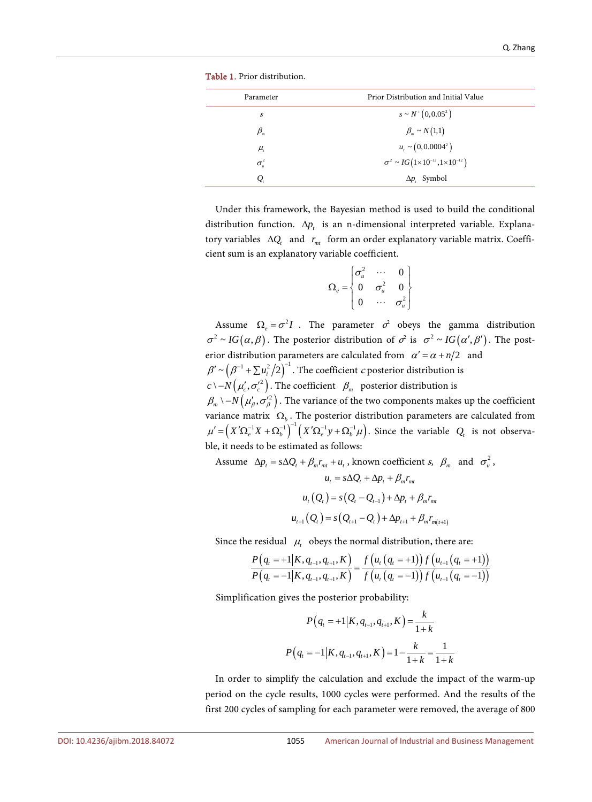<span id="page-5-0"></span>

| Parameter                      | Prior Distribution and Initial Value                     |
|--------------------------------|----------------------------------------------------------|
| s                              | $s \sim N^{+}(0, 0.05^{2})$                              |
| $\beta_{\scriptscriptstyle m}$ | $\beta_{m} \sim N(1,1)$                                  |
| $\mu$                          | $u_t \sim (0, 0.0004^2)$                                 |
| $\sigma_u^2$                   | $\sigma^2 \sim IG(1 \times 10^{-12}, 1 \times 10^{-12})$ |
| Q                              | $\Delta p_i$ Symbol                                      |

Table 1. Prior distribution.

Under this framework, the Bayesian method is used to build the conditional distribution function.  $\Delta p_t$  is an n-dimensional interpreted variable. Explanatory variables  $\Delta Q_t$  and  $r_{mt}$  form an order explanatory variable matrix. Coefficient sum is an explanatory variable coefficient.

$$
\Omega_e = \begin{bmatrix} \sigma_u^2 & \cdots & 0 \\ 0 & \sigma_u^2 & 0 \\ 0 & \cdots & \sigma_u^2 \end{bmatrix}
$$

Assume  $\Omega_e = \sigma^2 I$ . The parameter  $\sigma^2$  obeys the gamma distribution  $\sigma^2 \sim IG(\alpha, \beta)$ . The posterior distribution of  $\sigma^2$  is  $\sigma^2 \sim IG(\alpha', \beta')$ . The posterior distribution parameters are calculated from  $\alpha' = \alpha + n/2$  and  $\beta' \sim (\beta^{-1} + \sum u_i^2/2)^{-1}$ . The coefficient *c* posterior distribution is  $c \setminus -N(\mu'_c, \sigma'^2_c)$ . The coefficient  $\beta_m$  posterior distribution is  $(\beta_m \setminus -N(\mu'_\beta, \sigma^2_\beta))$ . The variance of the two components makes up the coefficient variance matrix  $\Omega_b$ . The posterior distribution parameters are calculated from  $\mu' = \left( X' \Omega_e^{-1} X + \Omega_b^{-1} \right)^{-1} \left( X' \Omega_e^{-1} y + \Omega_b^{-1} \mu \right)$ . Since the variable  $Q_t$  is not observable, it needs to be estimated as follows:

Assume  $\Delta p_t = s \Delta Q_t + \beta_m r_m + u_t$ , known coefficient s,  $\beta_m$  and  $\sigma_u^2$ ,

$$
u_{t} = s\Delta Q_{t} + \Delta p_{t} + \beta_{m}r_{mt}
$$
  

$$
u_{t}(Q_{t}) = s(Q_{t} - Q_{t-1}) + \Delta p_{t} + \beta_{m}r_{mt}
$$
  

$$
u_{t+1}(Q_{t}) = s(Q_{t+1} - Q_{t}) + \Delta p_{t+1} + \beta_{m}r_{m(t+1)}
$$

Since the residual  $\mu_t$  obeys the normal distribution, there are:

$$
\frac{P(q_{t} = +1 | K, q_{t-1}, q_{t+1}, K)}{P(q_{t} = -1 | K, q_{t-1}, q_{t+1}, K)} = \frac{f(u_{t}(q_{t} = +1)) f(u_{t+1}(q_{t} = +1))}{f(u_{t}(q_{t} = -1)) f(u_{t+1}(q_{t} = -1))}
$$

Simplification gives the posterior probability:

$$
P(q_{t} = +1 | K, q_{t-1}, q_{t+1}, K) = \frac{k}{1+k}
$$

$$
P(q_{t} = -1 | K, q_{t-1}, q_{t+1}, K) = 1 - \frac{k}{1+k} = \frac{1}{1+k}
$$

In order to simplify the calculation and exclude the impact of the warm-up period on the cycle results, 1000 cycles were performed. And the results of the first 200 cycles of sampling for each parameter were removed, the average of 800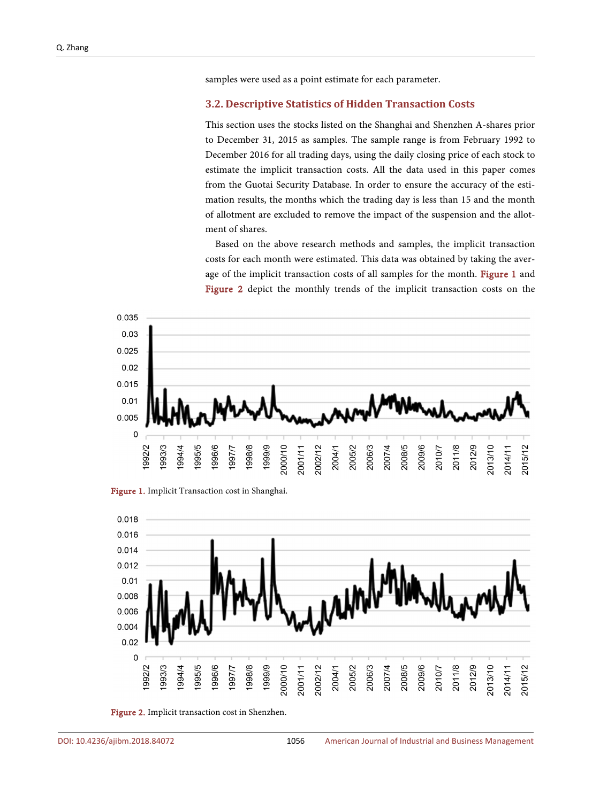samples were used as a point estimate for each parameter.

#### **3.2. Descriptive Statistics of Hidden Transaction Costs**

This section uses the stocks listed on the Shanghai and Shenzhen A-shares prior to December 31, 2015 as samples. The sample range is from February 1992 to December 2016 for all trading days, using the daily closing price of each stock to estimate the implicit transaction costs. All the data used in this paper comes from the Guotai Security Database. In order to ensure the accuracy of the estimation results, the months which the trading day is less than 15 and the month of allotment are excluded to remove the impact of the suspension and the allotment of shares.

Based on the above research methods and samples, the implicit transaction costs for each month were estimated. This data was obtained by taking the aver-age of the implicit transaction costs of all samples for the month. [Figure 1](#page-6-0) and [Figure 2](#page-6-1) depict the monthly trends of the implicit transaction costs on the

<span id="page-6-0"></span>

Figure 1. Implicit Transaction cost in Shanghai.

<span id="page-6-1"></span>

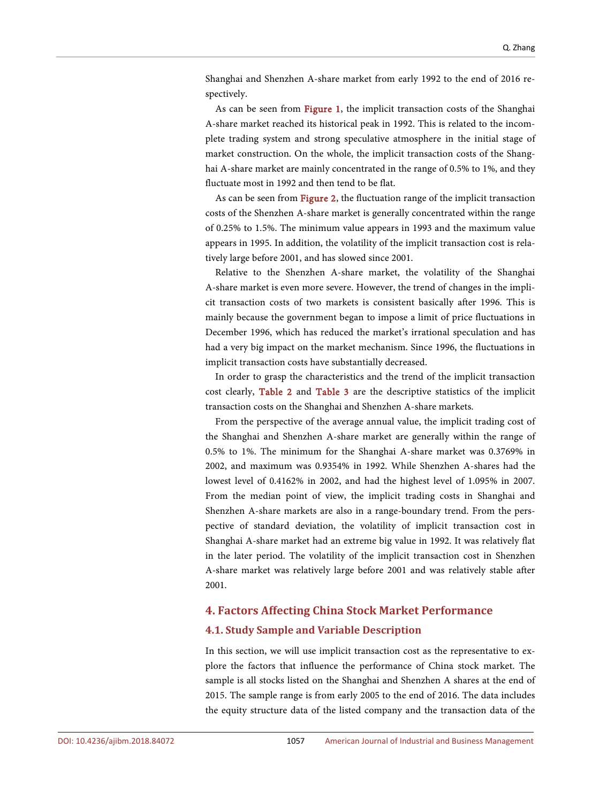Shanghai and Shenzhen A-share market from early 1992 to the end of 2016 respectively.

As can be seen from [Figure 1,](#page-6-0) the implicit transaction costs of the Shanghai A-share market reached its historical peak in 1992. This is related to the incomplete trading system and strong speculative atmosphere in the initial stage of market construction. On the whole, the implicit transaction costs of the Shanghai A-share market are mainly concentrated in the range of 0.5% to 1%, and they fluctuate most in 1992 and then tend to be flat.

As can be seen from [Figure 2,](#page-6-1) the fluctuation range of the implicit transaction costs of the Shenzhen A-share market is generally concentrated within the range of 0.25% to 1.5%. The minimum value appears in 1993 and the maximum value appears in 1995. In addition, the volatility of the implicit transaction cost is relatively large before 2001, and has slowed since 2001.

Relative to the Shenzhen A-share market, the volatility of the Shanghai A-share market is even more severe. However, the trend of changes in the implicit transaction costs of two markets is consistent basically after 1996. This is mainly because the government began to impose a limit of price fluctuations in December 1996, which has reduced the market's irrational speculation and has had a very big impact on the market mechanism. Since 1996, the fluctuations in implicit transaction costs have substantially decreased.

In order to grasp the characteristics and the trend of the implicit transaction cost clearly, [Table 2](#page-8-0) and [Table 3](#page-9-0) are the descriptive statistics of the implicit transaction costs on the Shanghai and Shenzhen A-share markets.

From the perspective of the average annual value, the implicit trading cost of the Shanghai and Shenzhen A-share market are generally within the range of 0.5% to 1%. The minimum for the Shanghai A-share market was 0.3769% in 2002, and maximum was 0.9354% in 1992. While Shenzhen A-shares had the lowest level of 0.4162% in 2002, and had the highest level of 1.095% in 2007. From the median point of view, the implicit trading costs in Shanghai and Shenzhen A-share markets are also in a range-boundary trend. From the perspective of standard deviation, the volatility of implicit transaction cost in Shanghai A-share market had an extreme big value in 1992. It was relatively flat in the later period. The volatility of the implicit transaction cost in Shenzhen A-share market was relatively large before 2001 and was relatively stable after 2001.

#### **4. Factors Affecting China Stock Market Performance**

#### **4.1. Study Sample and Variable Description**

In this section, we will use implicit transaction cost as the representative to explore the factors that influence the performance of China stock market. The sample is all stocks listed on the Shanghai and Shenzhen A shares at the end of 2015. The sample range is from early 2005 to the end of 2016. The data includes the equity structure data of the listed company and the transaction data of the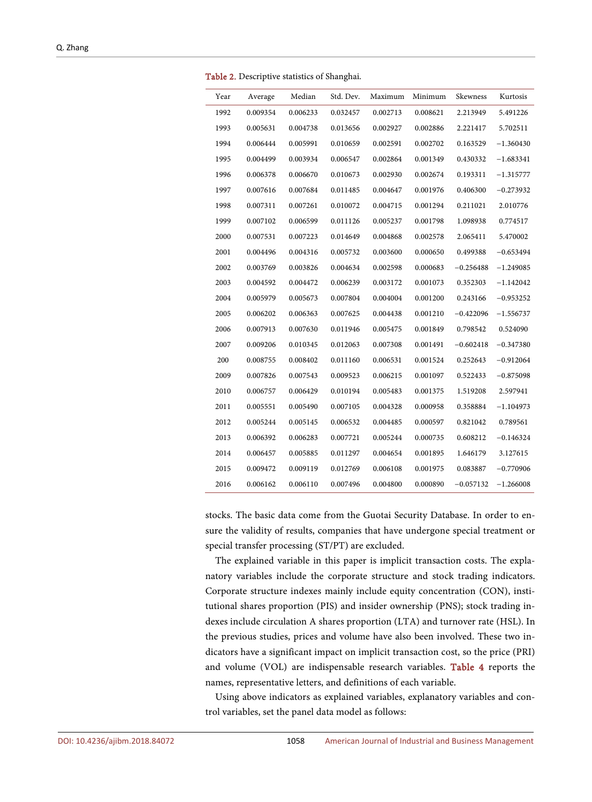| Year | Average  | Median   | Std. Dev. | Maximum  | Minimum  | Skewness    | Kurtosis    |
|------|----------|----------|-----------|----------|----------|-------------|-------------|
| 1992 | 0.009354 | 0.006233 | 0.032457  | 0.002713 | 0.008621 | 2.213949    | 5.491226    |
| 1993 | 0.005631 | 0.004738 | 0.013656  | 0.002927 | 0.002886 | 2.221417    | 5.702511    |
| 1994 | 0.006444 | 0.005991 | 0.010659  | 0.002591 | 0.002702 | 0.163529    | $-1.360430$ |
| 1995 | 0.004499 | 0.003934 | 0.006547  | 0.002864 | 0.001349 | 0.430332    | $-1.683341$ |
| 1996 | 0.006378 | 0.006670 | 0.010673  | 0.002930 | 0.002674 | 0.193311    | $-1.315777$ |
| 1997 | 0.007616 | 0.007684 | 0.011485  | 0.004647 | 0.001976 | 0.406300    | $-0.273932$ |
| 1998 | 0.007311 | 0.007261 | 0.010072  | 0.004715 | 0.001294 | 0.211021    | 2.010776    |
| 1999 | 0.007102 | 0.006599 | 0.011126  | 0.005237 | 0.001798 | 1.098938    | 0.774517    |
| 2000 | 0.007531 | 0.007223 | 0.014649  | 0.004868 | 0.002578 | 2.065411    | 5.470002    |
| 2001 | 0.004496 | 0.004316 | 0.005732  | 0.003600 | 0.000650 | 0.499388    | $-0.653494$ |
| 2002 | 0.003769 | 0.003826 | 0.004634  | 0.002598 | 0.000683 | $-0.256488$ | $-1.249085$ |
| 2003 | 0.004592 | 0.004472 | 0.006239  | 0.003172 | 0.001073 | 0.352303    | $-1.142042$ |
| 2004 | 0.005979 | 0.005673 | 0.007804  | 0.004004 | 0.001200 | 0.243166    | $-0.953252$ |
| 2005 | 0.006202 | 0.006363 | 0.007625  | 0.004438 | 0.001210 | $-0.422096$ | $-1.556737$ |
| 2006 | 0.007913 | 0.007630 | 0.011946  | 0.005475 | 0.001849 | 0.798542    | 0.524090    |
| 2007 | 0.009206 | 0.010345 | 0.012063  | 0.007308 | 0.001491 | $-0.602418$ | $-0.347380$ |
| 200  | 0.008755 | 0.008402 | 0.011160  | 0.006531 | 0.001524 | 0.252643    | $-0.912064$ |
| 2009 | 0.007826 | 0.007543 | 0.009523  | 0.006215 | 0.001097 | 0.522433    | $-0.875098$ |
| 2010 | 0.006757 | 0.006429 | 0.010194  | 0.005483 | 0.001375 | 1.519208    | 2.597941    |
| 2011 | 0.005551 | 0.005490 | 0.007105  | 0.004328 | 0.000958 | 0.358884    | $-1.104973$ |
| 2012 | 0.005244 | 0.005145 | 0.006532  | 0.004485 | 0.000597 | 0.821042    | 0.789561    |
| 2013 | 0.006392 | 0.006283 | 0.007721  | 0.005244 | 0.000735 | 0.608212    | $-0.146324$ |
| 2014 | 0.006457 | 0.005885 | 0.011297  | 0.004654 | 0.001895 | 1.646179    | 3.127615    |
| 2015 | 0.009472 | 0.009119 | 0.012769  | 0.006108 | 0.001975 | 0.083887    | $-0.770906$ |
| 2016 | 0.006162 | 0.006110 | 0.007496  | 0.004800 | 0.000890 | $-0.057132$ | $-1.266008$ |

<span id="page-8-0"></span>Table 2. Descriptive statistics of Shanghai.

stocks. The basic data come from the Guotai Security Database. In order to ensure the validity of results, companies that have undergone special treatment or special transfer processing (ST/PT) are excluded.

The explained variable in this paper is implicit transaction costs. The explanatory variables include the corporate structure and stock trading indicators. Corporate structure indexes mainly include equity concentration (CON), institutional shares proportion (PIS) and insider ownership (PNS); stock trading indexes include circulation A shares proportion (LTA) and turnover rate (HSL). In the previous studies, prices and volume have also been involved. These two indicators have a significant impact on implicit transaction cost, so the price (PRI) and volume (VOL) are indispensable research variables. [Table 4](#page-9-1) reports the names, representative letters, and definitions of each variable.

Using above indicators as explained variables, explanatory variables and control variables, set the panel data model as follows: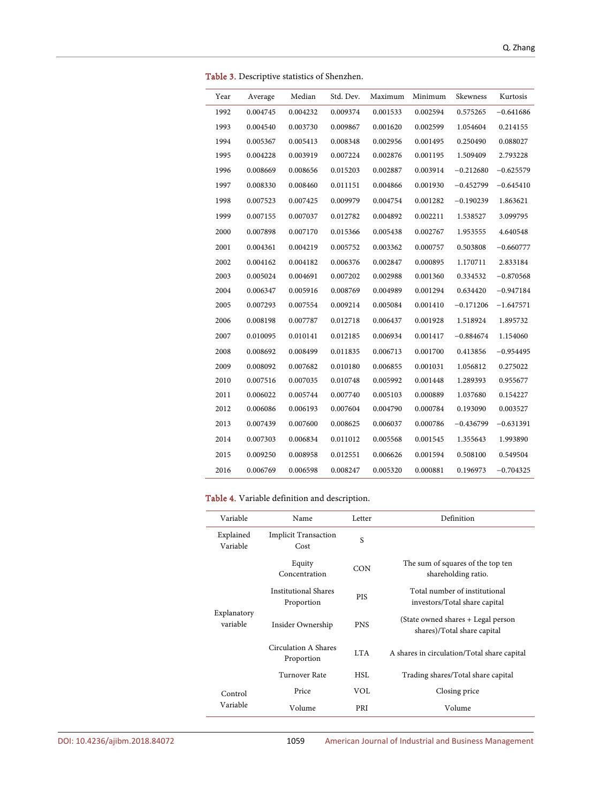<span id="page-9-0"></span>

| Year | Average  | Median   | Std. Dev. | Maximum  | Minimum  | Skewness    | Kurtosis    |
|------|----------|----------|-----------|----------|----------|-------------|-------------|
| 1992 | 0.004745 | 0.004232 | 0.009374  | 0.001533 | 0.002594 | 0.575265    | $-0.641686$ |
| 1993 | 0.004540 | 0.003730 | 0.009867  | 0.001620 | 0.002599 | 1.054604    | 0.214155    |
| 1994 | 0.005367 | 0.005413 | 0.008348  | 0.002956 | 0.001495 | 0.250490    | 0.088027    |
| 1995 | 0.004228 | 0.003919 | 0.007224  | 0.002876 | 0.001195 | 1.509409    | 2.793228    |
| 1996 | 0.008669 | 0.008656 | 0.015203  | 0.002887 | 0.003914 | $-0.212680$ | $-0.625579$ |
| 1997 | 0.008330 | 0.008460 | 0.011151  | 0.004866 | 0.001930 | $-0.452799$ | $-0.645410$ |
| 1998 | 0.007523 | 0.007425 | 0.009979  | 0.004754 | 0.001282 | $-0.190239$ | 1.863621    |
| 1999 | 0.007155 | 0.007037 | 0.012782  | 0.004892 | 0.002211 | 1.538527    | 3.099795    |
| 2000 | 0.007898 | 0.007170 | 0.015366  | 0.005438 | 0.002767 | 1.953555    | 4.640548    |
| 2001 | 0.004361 | 0.004219 | 0.005752  | 0.003362 | 0.000757 | 0.503808    | $-0.660777$ |
| 2002 | 0.004162 | 0.004182 | 0.006376  | 0.002847 | 0.000895 | 1.170711    | 2.833184    |
| 2003 | 0.005024 | 0.004691 | 0.007202  | 0.002988 | 0.001360 | 0.334532    | $-0.870568$ |
| 2004 | 0.006347 | 0.005916 | 0.008769  | 0.004989 | 0.001294 | 0.634420    | $-0.947184$ |
| 2005 | 0.007293 | 0.007554 | 0.009214  | 0.005084 | 0.001410 | $-0.171206$ | $-1.647571$ |
| 2006 | 0.008198 | 0.007787 | 0.012718  | 0.006437 | 0.001928 | 1.518924    | 1.895732    |
| 2007 | 0.010095 | 0.010141 | 0.012185  | 0.006934 | 0.001417 | $-0.884674$ | 1.154060    |
| 2008 | 0.008692 | 0.008499 | 0.011835  | 0.006713 | 0.001700 | 0.413856    | $-0.954495$ |
| 2009 | 0.008092 | 0.007682 | 0.010180  | 0.006855 | 0.001031 | 1.056812    | 0.275022    |
| 2010 | 0.007516 | 0.007035 | 0.010748  | 0.005992 | 0.001448 | 1.289393    | 0.955677    |
| 2011 | 0.006022 | 0.005744 | 0.007740  | 0.005103 | 0.000889 | 1.037680    | 0.154227    |
| 2012 | 0.006086 | 0.006193 | 0.007604  | 0.004790 | 0.000784 | 0.193090    | 0.003527    |
| 2013 | 0.007439 | 0.007600 | 0.008625  | 0.006037 | 0.000786 | $-0.436799$ | $-0.631391$ |
| 2014 | 0.007303 | 0.006834 | 0.011012  | 0.005568 | 0.001545 | 1.355643    | 1.993890    |
| 2015 | 0.009250 | 0.008958 | 0.012551  | 0.006626 | 0.001594 | 0.508100    | 0.549504    |
| 2016 | 0.006769 | 0.006598 | 0.008247  | 0.005320 | 0.000881 | 0.196973    | $-0.704325$ |

Table 3. Descriptive statistics of Shenzhen.

#### <span id="page-9-1"></span>Table 4. Variable definition and description.

| Variable                | Name                                      | Letter     | Definition                                                        |
|-------------------------|-------------------------------------------|------------|-------------------------------------------------------------------|
| Explained<br>Variable   | <b>Implicit Transaction</b><br>Cost       | S          |                                                                   |
|                         | Equity<br>Concentration                   | CON        | The sum of squares of the top ten<br>shareholding ratio.          |
|                         | <b>Institutional Shares</b><br>Proportion | <b>PIS</b> | Total number of institutional<br>investors/Total share capital    |
| Explanatory<br>variable | Insider Ownership                         | <b>PNS</b> | (State owned shares + Legal person<br>shares)/Total share capital |
|                         | Circulation A Shares<br>Proportion        | LTA.       | A shares in circulation/Total share capital                       |
|                         | Turnover Rate                             | HSL        | Trading shares/Total share capital                                |
| Control                 | Price                                     | VOL        | Closing price                                                     |
| Variable                | Volume                                    | PRI        | Volume                                                            |

DOI[: 10.4236/ajibm.2018.84072](https://doi.org/10.4236/ajibm.2018.84072) 1059 American Journal of Industrial and Business Management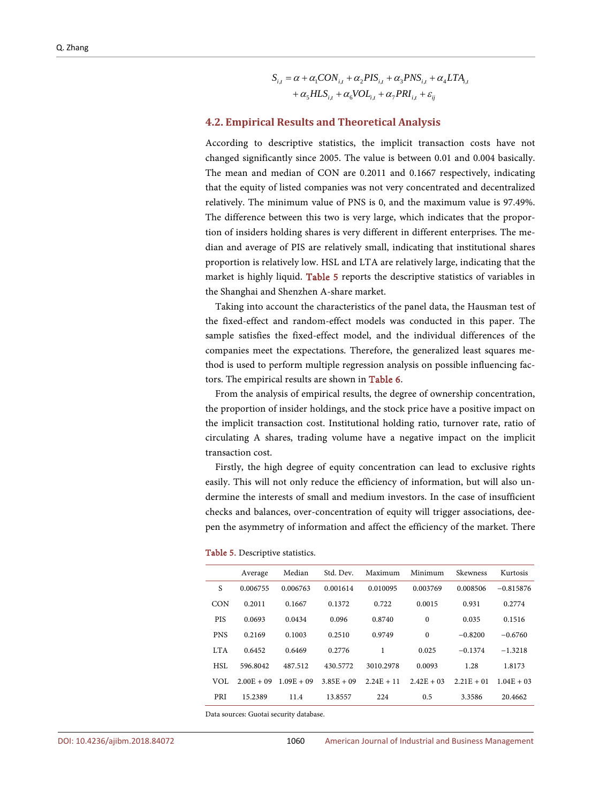$$
S_{i,t} = \alpha + \alpha_1 CON_{i,t} + \alpha_2 PIS_{i,t} + \alpha_3 PNS_{i,t} + \alpha_4 LTA_{i,t}
$$

$$
+ \alpha_5 HLS_{i,t} + \alpha_6 VOL_{i,t} + \alpha_7 PRI_{i,t} + \varepsilon_{ij}
$$

#### **4.2. Empirical Results and Theoretical Analysis**

According to descriptive statistics, the implicit transaction costs have not changed significantly since 2005. The value is between 0.01 and 0.004 basically. The mean and median of CON are 0.2011 and 0.1667 respectively, indicating that the equity of listed companies was not very concentrated and decentralized relatively. The minimum value of PNS is 0, and the maximum value is 97.49%. The difference between this two is very large, which indicates that the proportion of insiders holding shares is very different in different enterprises. The median and average of PIS are relatively small, indicating that institutional shares proportion is relatively low. HSL and LTA are relatively large, indicating that the market is highly liquid. [Table 5](#page-10-0) reports the descriptive statistics of variables in the Shanghai and Shenzhen A-share market.

Taking into account the characteristics of the panel data, the Hausman test of the fixed-effect and random-effect models was conducted in this paper. The sample satisfies the fixed-effect model, and the individual differences of the companies meet the expectations. Therefore, the generalized least squares method is used to perform multiple regression analysis on possible influencing factors. The empirical results are shown in [Table 6.](#page-11-0)

From the analysis of empirical results, the degree of ownership concentration, the proportion of insider holdings, and the stock price have a positive impact on the implicit transaction cost. Institutional holding ratio, turnover rate, ratio of circulating A shares, trading volume have a negative impact on the implicit transaction cost.

Firstly, the high degree of equity concentration can lead to exclusive rights easily. This will not only reduce the efficiency of information, but will also undermine the interests of small and medium investors. In the case of insufficient checks and balances, over-concentration of equity will trigger associations, deepen the asymmetry of information and affect the efficiency of the market. There

|            | Average      | Median       | Std. Dev.    | Maximum      | Minimum      | Skewness     | Kurtosis     |
|------------|--------------|--------------|--------------|--------------|--------------|--------------|--------------|
| S          | 0.006755     | 0.006763     | 0.001614     | 0.010095     | 0.003769     | 0.008506     | $-0.815876$  |
| <b>CON</b> | 0.2011       | 0.1667       | 0.1372       | 0.722        | 0.0015       | 0.931        | 0.2774       |
| <b>PIS</b> | 0.0693       | 0.0434       | 0.096        | 0.8740       | $\mathbf{0}$ | 0.035        | 0.1516       |
| <b>PNS</b> | 0.2169       | 0.1003       | 0.2510       | 0.9749       | $\mathbf{0}$ | $-0.8200$    | $-0.6760$    |
| <b>LTA</b> | 0.6452       | 0.6469       | 0.2776       | 1            | 0.025        | $-0.1374$    | $-1.3218$    |
| HSL        | 596.8042     | 487.512      | 430.5772     | 3010.2978    | 0.0093       | 1.28         | 1.8173       |
| VOL        | $2.00E + 09$ | $1.09E + 09$ | $3.85E + 09$ | $2.24E + 11$ | $2.42E + 03$ | $2.21E + 01$ | $1.04E + 03$ |
| PRI        | 15.2389      | 11.4         | 13.8557      | 224          | 0.5          | 3.3586       | 20.4662      |

#### <span id="page-10-0"></span>Table 5. Descriptive statistics.

Data sources: Guotai security database.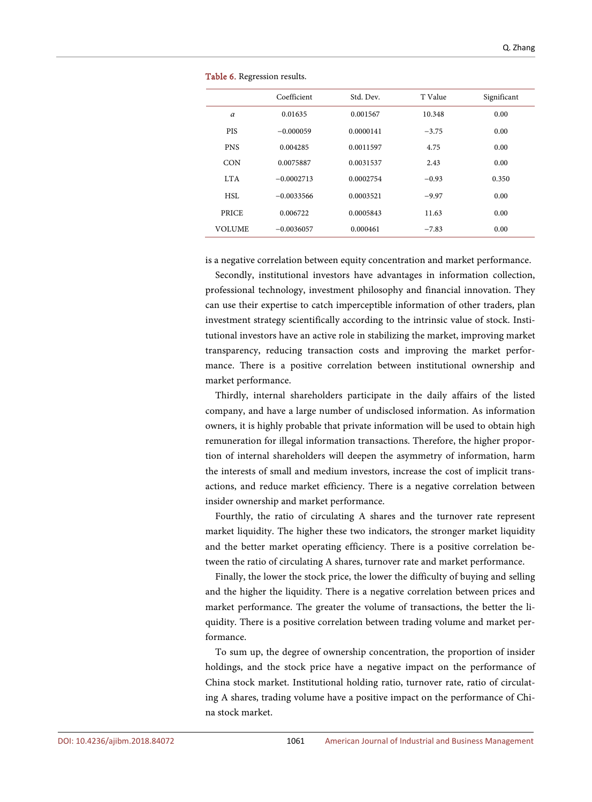<span id="page-11-0"></span>

|               | Coefficient  | Std. Dev. | T Value | Significant |
|---------------|--------------|-----------|---------|-------------|
| $\alpha$      | 0.01635      | 0.001567  | 10.348  | 0.00        |
| <b>PIS</b>    | $-0.000059$  | 0.0000141 | $-3.75$ | 0.00        |
| <b>PNS</b>    | 0.004285     | 0.0011597 | 4.75    | 0.00        |
| <b>CON</b>    | 0.0075887    | 0.0031537 | 2.43    | 0.00        |
| LT A          | $-0.0002713$ | 0.0002754 | $-0.93$ | 0.350       |
| HSL           | $-0.0033566$ | 0.0003521 | $-9.97$ | 0.00        |
| <b>PRICE</b>  | 0.006722     | 0.0005843 | 11.63   | 0.00        |
| <b>VOLUME</b> | $-0.0036057$ | 0.000461  | $-7.83$ | 0.00        |

Table 6. Regression results.

is a negative correlation between equity concentration and market performance.

Secondly, institutional investors have advantages in information collection, professional technology, investment philosophy and financial innovation. They can use their expertise to catch imperceptible information of other traders, plan investment strategy scientifically according to the intrinsic value of stock. Institutional investors have an active role in stabilizing the market, improving market transparency, reducing transaction costs and improving the market performance. There is a positive correlation between institutional ownership and market performance.

Thirdly, internal shareholders participate in the daily affairs of the listed company, and have a large number of undisclosed information. As information owners, it is highly probable that private information will be used to obtain high remuneration for illegal information transactions. Therefore, the higher proportion of internal shareholders will deepen the asymmetry of information, harm the interests of small and medium investors, increase the cost of implicit transactions, and reduce market efficiency. There is a negative correlation between insider ownership and market performance.

Fourthly, the ratio of circulating A shares and the turnover rate represent market liquidity. The higher these two indicators, the stronger market liquidity and the better market operating efficiency. There is a positive correlation between the ratio of circulating A shares, turnover rate and market performance.

Finally, the lower the stock price, the lower the difficulty of buying and selling and the higher the liquidity. There is a negative correlation between prices and market performance. The greater the volume of transactions, the better the liquidity. There is a positive correlation between trading volume and market performance.

To sum up, the degree of ownership concentration, the proportion of insider holdings, and the stock price have a negative impact on the performance of China stock market. Institutional holding ratio, turnover rate, ratio of circulating A shares, trading volume have a positive impact on the performance of China stock market.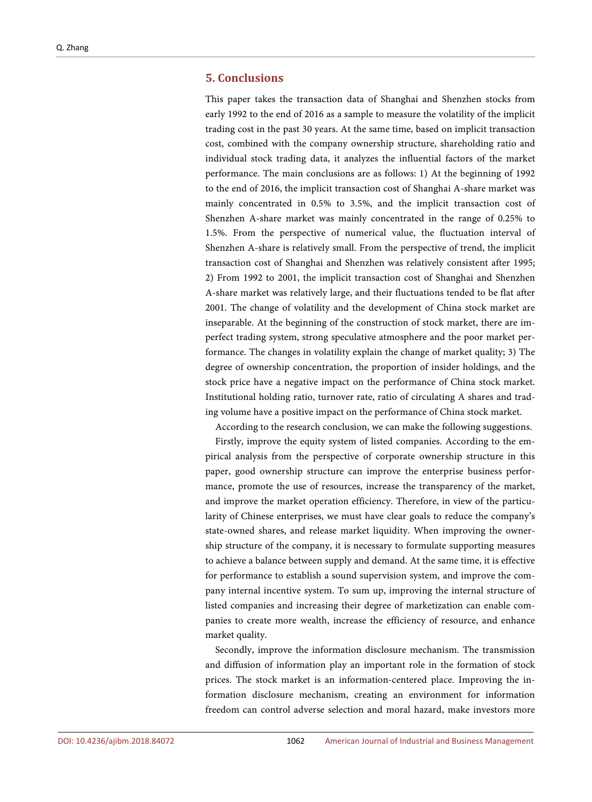#### **5. Conclusions**

This paper takes the transaction data of Shanghai and Shenzhen stocks from early 1992 to the end of 2016 as a sample to measure the volatility of the implicit trading cost in the past 30 years. At the same time, based on implicit transaction cost, combined with the company ownership structure, shareholding ratio and individual stock trading data, it analyzes the influential factors of the market performance. The main conclusions are as follows: 1) At the beginning of 1992 to the end of 2016, the implicit transaction cost of Shanghai A-share market was mainly concentrated in 0.5% to 3.5%, and the implicit transaction cost of Shenzhen A-share market was mainly concentrated in the range of 0.25% to 1.5%. From the perspective of numerical value, the fluctuation interval of Shenzhen A-share is relatively small. From the perspective of trend, the implicit transaction cost of Shanghai and Shenzhen was relatively consistent after 1995; 2) From 1992 to 2001, the implicit transaction cost of Shanghai and Shenzhen A-share market was relatively large, and their fluctuations tended to be flat after 2001. The change of volatility and the development of China stock market are inseparable. At the beginning of the construction of stock market, there are imperfect trading system, strong speculative atmosphere and the poor market performance. The changes in volatility explain the change of market quality; 3) The degree of ownership concentration, the proportion of insider holdings, and the stock price have a negative impact on the performance of China stock market. Institutional holding ratio, turnover rate, ratio of circulating A shares and trading volume have a positive impact on the performance of China stock market.

According to the research conclusion, we can make the following suggestions.

Firstly, improve the equity system of listed companies. According to the empirical analysis from the perspective of corporate ownership structure in this paper, good ownership structure can improve the enterprise business performance, promote the use of resources, increase the transparency of the market, and improve the market operation efficiency. Therefore, in view of the particularity of Chinese enterprises, we must have clear goals to reduce the company's state-owned shares, and release market liquidity. When improving the ownership structure of the company, it is necessary to formulate supporting measures to achieve a balance between supply and demand. At the same time, it is effective for performance to establish a sound supervision system, and improve the company internal incentive system. To sum up, improving the internal structure of listed companies and increasing their degree of marketization can enable companies to create more wealth, increase the efficiency of resource, and enhance market quality.

Secondly, improve the information disclosure mechanism. The transmission and diffusion of information play an important role in the formation of stock prices. The stock market is an information-centered place. Improving the information disclosure mechanism, creating an environment for information freedom can control adverse selection and moral hazard, make investors more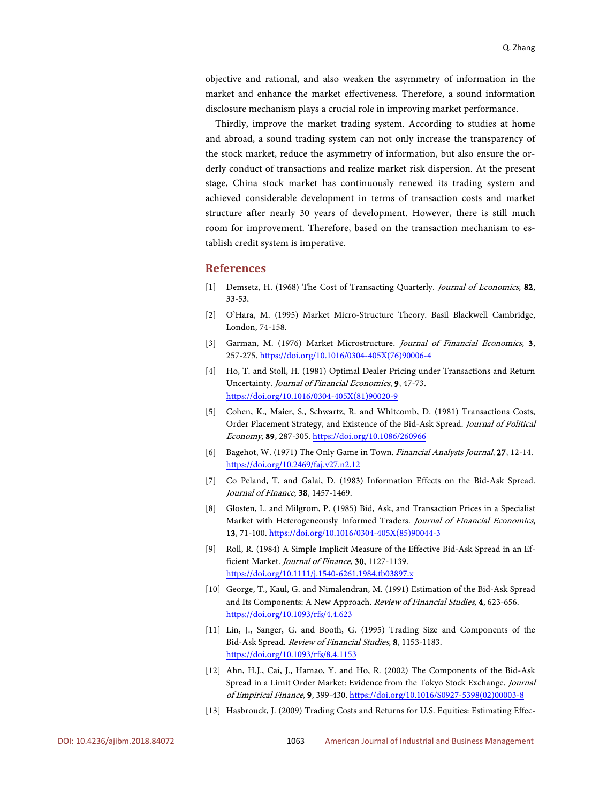objective and rational, and also weaken the asymmetry of information in the market and enhance the market effectiveness. Therefore, a sound information disclosure mechanism plays a crucial role in improving market performance.

Thirdly, improve the market trading system. According to studies at home and abroad, a sound trading system can not only increase the transparency of the stock market, reduce the asymmetry of information, but also ensure the orderly conduct of transactions and realize market risk dispersion. At the present stage, China stock market has continuously renewed its trading system and achieved considerable development in terms of transaction costs and market structure after nearly 30 years of development. However, there is still much room for improvement. Therefore, based on the transaction mechanism to establish credit system is imperative.

#### **References**

- <span id="page-13-0"></span>[1] Demsetz, H. (1968) The Cost of Transacting Quarterly. Journal of Economics, 82, 33-53.
- <span id="page-13-1"></span>[2] O'Hara, M. (1995) Market Micro-Structure Theory. Basil Blackwell Cambridge, London, 74-158.
- <span id="page-13-2"></span>[3] Garman, M. (1976) Market Microstructure. Journal of Financial Economics, 3, 257-275. [https://doi.org/10.1016/0304-405X\(76\)90006-4](https://doi.org/10.1016/0304-405X(76)90006-4)
- <span id="page-13-3"></span>[4] Ho, T. and Stoll, H. (1981) Optimal Dealer Pricing under Transactions and Return Uncertainty. Journal of Financial Economics, 9, 47-73. [https://doi.org/10.1016/0304-405X\(81\)90020-9](https://doi.org/10.1016/0304-405X(81)90020-9)
- <span id="page-13-4"></span>[5] Cohen, K., Maier, S., Schwartz, R. and Whitcomb, D. (1981) Transactions Costs, Order Placement Strategy, and Existence of the Bid-Ask Spread. Journal of Political Economy, 89, 287-305. <https://doi.org/10.1086/260966>
- <span id="page-13-5"></span>[6] Bagehot, W. (1971) The Only Game in Town. Financial Analysts Journal, 27, 12-14. <https://doi.org/10.2469/faj.v27.n2.12>
- <span id="page-13-6"></span>[7] Co Peland, T. and Galai, D. (1983) Information Effects on the Bid-Ask Spread. Journal of Finance, 38, 1457-1469.
- <span id="page-13-7"></span>[8] Glosten, L. and Milgrom, P. (1985) Bid, Ask, and Transaction Prices in a Specialist Market with Heterogeneously Informed Traders. Journal of Financial Economics, 13, 71-100. [https://doi.org/10.1016/0304-405X\(85\)90044-3](https://doi.org/10.1016/0304-405X(85)90044-3)
- <span id="page-13-8"></span>[9] Roll, R. (1984) A Simple Implicit Measure of the Effective Bid-Ask Spread in an Efficient Market. Journal of Finance, 30, 1127-1139. <https://doi.org/10.1111/j.1540-6261.1984.tb03897.x>
- <span id="page-13-9"></span>[10] George, T., Kaul, G. and Nimalendran, M. (1991) Estimation of the Bid-Ask Spread and Its Components: A New Approach. Review of Financial Studies, 4, 623-656. <https://doi.org/10.1093/rfs/4.4.623>
- <span id="page-13-10"></span>[11] Lin, J., Sanger, G. and Booth, G. (1995) Trading Size and Components of the Bid-Ask Spread. Review of Financial Studies, 8, 1153-1183. <https://doi.org/10.1093/rfs/8.4.1153>
- <span id="page-13-11"></span>[12] Ahn, H.J., Cai, J., Hamao, Y. and Ho, R. (2002) The Components of the Bid-Ask Spread in a Limit Order Market: Evidence from the Tokyo Stock Exchange. Journal of Empirical Finance, 9, 399-430. [https://doi.org/10.1016/S0927-5398\(02\)00003-8](https://doi.org/10.1016/S0927-5398(02)00003-8)
- <span id="page-13-12"></span>[13] Hasbrouck, J. (2009) Trading Costs and Returns for U.S. Equities: Estimating Effec-